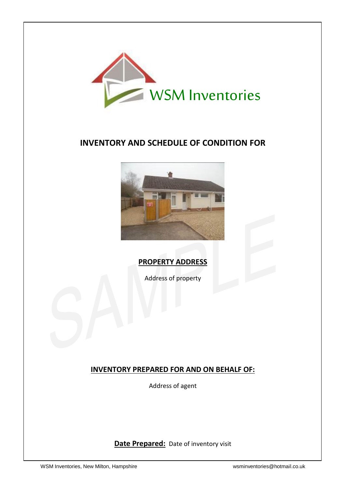

# **INVENTORY AND SCHEDULE OF CONDITION FOR**



# **PROPERTY ADDRESS**

Address of property

# **INVENTORY PREPARED FOR AND ON BEHALF OF:**

Address of agent

**Date Prepared:** Date of inventory visit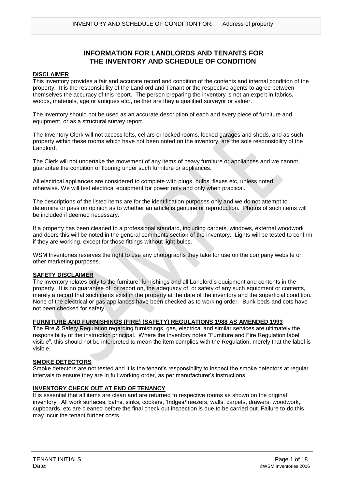### **INFORMATION FOR LANDLORDS AND TENANTS FOR THE INVENTORY AND SCHEDULE OF CONDITION**

#### **DISCLAIMER**

This inventory provides a fair and accurate record and condition of the contents and internal condition of the property. It is the responsibility of the Landlord and Tenant or the respective agents to agree between themselves the accuracy of this report. The person preparing the inventory is not an expert in fabrics, woods, materials, age or antiques etc., neither are they a qualified surveyor or valuer.

The inventory should not be used as an accurate description of each and every piece of furniture and equipment, or as a structural survey report.

The Inventory Clerk will not access lofts, cellars or locked rooms, locked garages and sheds, and as such, property within these rooms which have not been noted on the inventory, are the sole responsibility of the Landlord.

The Clerk will not undertake the movement of any items of heavy furniture or appliances and we cannot guarantee the condition of flooring under such furniture or appliances.

All electrical appliances are considered to complete with plugs, bulbs, flexes etc, unless noted otherwise. We will test electrical equipment for power only and only when practical.

The descriptions of the listed items are for the identification purposes only and we do not attempt to determine or pass on opinion as to whether an article is genuine or reproduction. Photos of such items will be included if deemed necessary.

If a property has been cleaned to a professional standard, including carpets, windows, external woodwork and doors this will be noted in the general comments section of the inventory. Lights will be tested to confirm if they are working, except for those fittings without light bulbs.

WSM Inventories reserves the right to use any photographs they take for use on the company website or other marketing purposes.

#### **SAFETY DISCLAIMER**

The inventory relates only to the furniture, furnishings and all Landlord's equipment and contents in the property. It is no guarantee of, or report on, the adequacy of, or safety of any such equipment or contents, merely a record that such items exist in the property at the date of the inventory and the superficial condition. None of the electrical or gas appliances have been checked as to working order. Bunk beds and cots have not been checked for safety.

#### **FURNITURE AND FURNISHINGS (FIRE) (SAFETY) REGULATIONS 1988 AS AMENDED 1993**

The Fire & Safety Regulation regarding furnishings, gas, electrical and similar services are ultimately the responsibility of the instruction principal. Where the inventory notes "Furniture and Fire Regulation label visible", this should not be interpreted to mean the item complies with the Regulation, merely that the label is visible.

#### **SMOKE DETECTORS**

Smoke detectors are not tested and it is the tenant's responsibility to inspect the smoke detectors at regular intervals to ensure they are in full working order, as per manufacturer's instructions.

#### **INVENTORY CHECK OUT AT END OF TENANCY**

It is essential that all items are clean and are returned to respective rooms as shown on the original inventory. All work surfaces, baths, sinks, cookers, 'fridges/freezers, walls, carpets, drawers, woodwork, cupboards, etc are cleaned before the final check out inspection is due to be carried out. Failure to do this may incur the tenant further costs.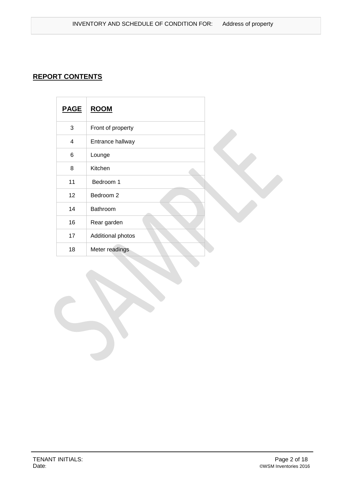# **REPORT CONTENTS**

| <b>PAGE</b> | <b>ROOM</b>       |  |
|-------------|-------------------|--|
| 3           | Front of property |  |
| 4           | Entrance hallway  |  |
| 6           | Lounge            |  |
| 8           | Kitchen           |  |
| 11          | Bedroom 1         |  |
| 12          | Bedroom 2         |  |
| 14          | Bathroom          |  |
| 16          | Rear garden       |  |
| 17          | Additional photos |  |
| 18          | Meter readings    |  |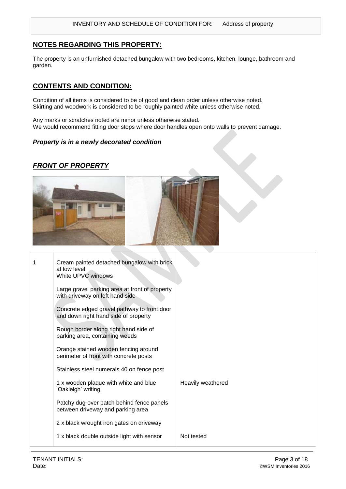### **NOTES REGARDING THIS PROPERTY:**

The property is an unfurnished detached bungalow with two bedrooms, kitchen, lounge, bathroom and garden.

### **CONTENTS AND CONDITION:**

Condition of all items is considered to be of good and clean order unless otherwise noted. Skirting and woodwork is considered to be roughly painted white unless otherwise noted.

Any marks or scratches noted are minor unless otherwise stated. We would recommend fitting door stops where door handles open onto walls to prevent damage.

#### *Property is in a newly decorated condition*

### *FRONT OF PROPERTY*



| 1 | Cream painted detached bungalow with brick<br>at low level<br>White UPVC windows    |                   |
|---|-------------------------------------------------------------------------------------|-------------------|
|   | Large gravel parking area at front of property<br>with driveway on left hand side   |                   |
|   | Concrete edged gravel pathway to front door<br>and down right hand side of property |                   |
|   | Rough border along right hand side of<br>parking area, containing weeds             |                   |
|   | Orange stained wooden fencing around<br>perimeter of front with concrete posts      |                   |
|   | Stainless steel numerals 40 on fence post                                           |                   |
|   | 1 x wooden plaque with white and blue<br>'Oakleigh' writing                         | Heavily weathered |
|   | Patchy dug-over patch behind fence panels<br>between driveway and parking area      |                   |
|   | 2 x black wrought iron gates on driveway                                            |                   |
|   | 1 x black double outside light with sensor                                          | Not tested        |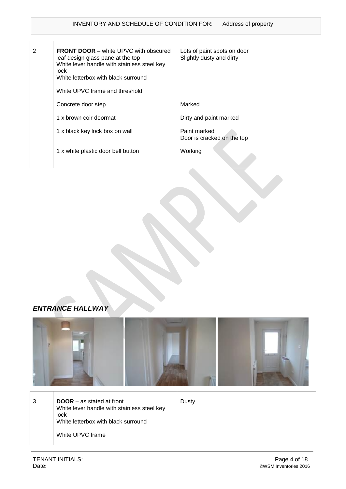| 2 | <b>FRONT DOOR</b> – white UPVC with obscured<br>leaf design glass pane at the top<br>White lever handle with stainless steel key<br>lock.<br>White letterbox with black surround<br>White UPVC frame and threshold | Lots of paint spots on door<br>Slightly dusty and dirty |
|---|--------------------------------------------------------------------------------------------------------------------------------------------------------------------------------------------------------------------|---------------------------------------------------------|
|   | Concrete door step                                                                                                                                                                                                 | Marked                                                  |
|   | 1 x brown coir doormat                                                                                                                                                                                             | Dirty and paint marked                                  |
|   | 1 x black key lock box on wall                                                                                                                                                                                     | Paint marked<br>Door is cracked on the top              |
|   | 1 x white plastic door bell button                                                                                                                                                                                 | Working                                                 |





 $3 \qquad \qquad \vert$  **DOOR** – as stated at front White lever handle with stainless steel key lock White letterbox with black surround White UPVC frame

Dusty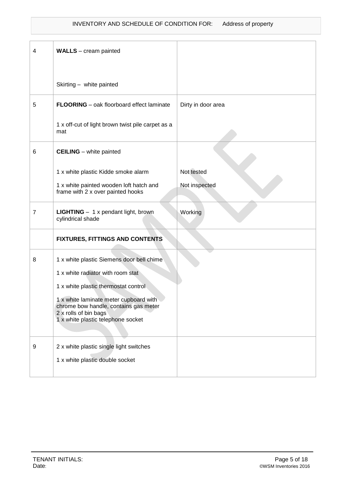| 4 | <b>WALLS</b> – cream painted                                                                                                                   |                    |
|---|------------------------------------------------------------------------------------------------------------------------------------------------|--------------------|
|   | Skirting - white painted                                                                                                                       |                    |
| 5 | FLOORING - oak floorboard effect laminate                                                                                                      | Dirty in door area |
|   | 1 x off-cut of light brown twist pile carpet as a<br>mat                                                                                       |                    |
| 6 | <b>CEILING</b> – white painted                                                                                                                 |                    |
|   | 1 x white plastic Kidde smoke alarm                                                                                                            | Not tested         |
|   | 1 x white painted wooden loft hatch and<br>frame with 2 x over painted hooks                                                                   | Not inspected      |
| 7 | LIGHTING - 1 x pendant light, brown<br>cylindrical shade                                                                                       | Working            |
|   | <b>FIXTURES, FITTINGS AND CONTENTS</b>                                                                                                         |                    |
| 8 | 1 x white plastic Siemens door bell chime                                                                                                      |                    |
|   | 1 x white radiator with room stat                                                                                                              |                    |
|   | 1 x white plastic thermostat control                                                                                                           |                    |
|   | 1 x white laminate meter cupboard with<br>chrome bow handle, contains gas meter<br>2 x rolls of bin bags<br>1 x white plastic telephone socket |                    |
| 9 | 2 x white plastic single light switches                                                                                                        |                    |
|   | 1 x white plastic double socket                                                                                                                |                    |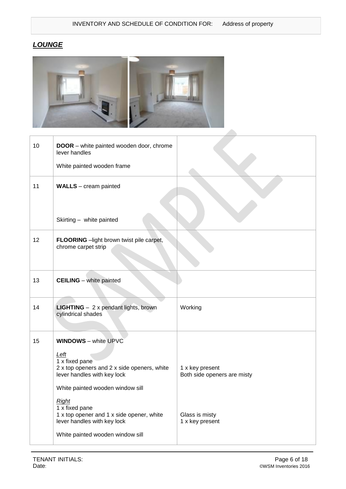# *LOUNGE*



| 10 | <b>DOOR</b> – white painted wooden door, chrome<br>lever handles                                                                                |                                                |
|----|-------------------------------------------------------------------------------------------------------------------------------------------------|------------------------------------------------|
|    | White painted wooden frame                                                                                                                      |                                                |
| 11 | <b>WALLS</b> - cream painted                                                                                                                    |                                                |
|    | Skirting - white painted                                                                                                                        |                                                |
| 12 | FLOORING - light brown twist pile carpet,<br>chrome carpet strip                                                                                |                                                |
| 13 | <b>CEILING</b> - white painted                                                                                                                  |                                                |
| 14 | <b>LIGHTING</b> - 2 x pendant lights, brown<br>cylindrical shades                                                                               | Working                                        |
| 15 | <b>WINDOWS</b> - white UPVC                                                                                                                     |                                                |
|    | <u>Left</u><br>1 x fixed pane<br>2 x top openers and 2 x side openers, white<br>lever handles with key lock<br>White painted wooden window sill | 1 x key present<br>Both side openers are misty |
|    | Right<br>1 x fixed pane<br>1 x top opener and 1 x side opener, white<br>lever handles with key lock<br>White painted wooden window sill         | Glass is misty<br>1 x key present              |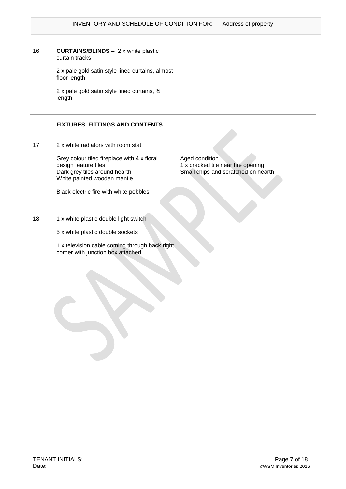| 16 | <b>CURTAINS/BLINDS - 2 x white plastic</b><br>curtain tracks<br>2 x pale gold satin style lined curtains, almost<br>floor length<br>2 x pale gold satin style lined curtains, 3/4<br>length                         |                                                                                             |
|----|---------------------------------------------------------------------------------------------------------------------------------------------------------------------------------------------------------------------|---------------------------------------------------------------------------------------------|
|    | <b>FIXTURES, FITTINGS AND CONTENTS</b>                                                                                                                                                                              |                                                                                             |
| 17 | 2 x white radiators with room stat<br>Grey colour tiled fireplace with 4 x floral<br>design feature tiles<br>Dark grey tiles around hearth<br>White painted wooden mantle<br>Black electric fire with white pebbles | Aged condition<br>1 x cracked tile near fire opening<br>Small chips and scratched on hearth |
| 18 | 1 x white plastic double light switch<br>5 x white plastic double sockets<br>1 x television cable coming through back right<br>corner with junction box attached                                                    |                                                                                             |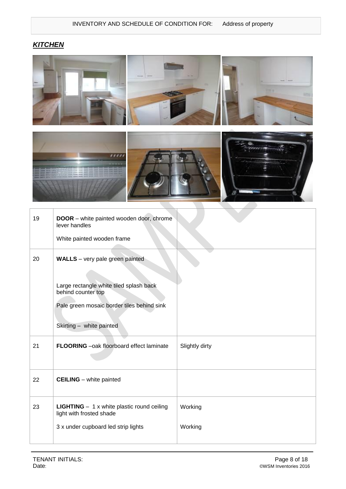# *KITCHEN*





| 19 | DOOR - white painted wooden door, chrome<br>lever handles<br>White painted wooden frame                                                                                           |                    |
|----|-----------------------------------------------------------------------------------------------------------------------------------------------------------------------------------|--------------------|
| 20 | <b>WALLS</b> - very pale green painted<br>Large rectangle white tiled splash back<br>behind counter top<br>Pale green mosaic border tiles behind sink<br>Skirting - white painted |                    |
| 21 | FLOORING -oak floorboard effect laminate                                                                                                                                          | Slightly dirty     |
| 22 | <b>CEILING</b> - white painted                                                                                                                                                    |                    |
| 23 | <b>LIGHTING</b> $- 1x$ white plastic round ceiling<br>light with frosted shade<br>3 x under cupboard led strip lights                                                             | Working<br>Working |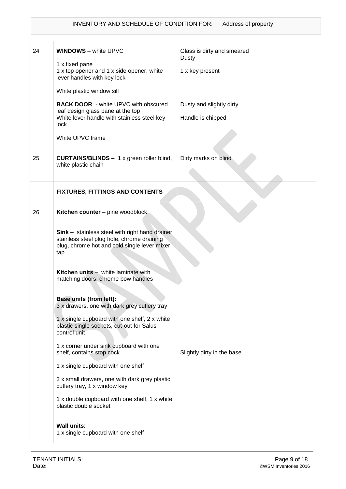| 24 | <b>WINDOWS</b> - white UPVC                                                                                                                                 | Glass is dirty and smeared<br>Dusty |
|----|-------------------------------------------------------------------------------------------------------------------------------------------------------------|-------------------------------------|
|    | 1 x fixed pane<br>1 x top opener and 1 x side opener, white<br>lever handles with key lock                                                                  | 1 x key present                     |
|    | White plastic window sill                                                                                                                                   |                                     |
|    | <b>BACK DOOR - white UPVC with obscured</b><br>leaf design glass pane at the top                                                                            | Dusty and slightly dirty            |
|    | White lever handle with stainless steel key<br>lock                                                                                                         | Handle is chipped                   |
|    | White UPVC frame                                                                                                                                            |                                     |
| 25 | <b>CURTAINS/BLINDS - 1 x green roller blind,</b>                                                                                                            | Dirty marks on blind                |
|    | white plastic chain                                                                                                                                         |                                     |
|    | <b>FIXTURES, FITTINGS AND CONTENTS</b>                                                                                                                      |                                     |
| 26 | Kitchen counter - pine woodblock                                                                                                                            |                                     |
|    | <b>Sink</b> – stainless steel with right hand drainer,<br>stainless steel plug hole, chrome draining<br>plug, chrome hot and cold single lever mixer<br>tap |                                     |
|    | Kitchen units - white laminate with<br>matching doors, chrome bow handles                                                                                   |                                     |
|    | Base units (from left):<br>3 x drawers, one with dark grey cutlery tray                                                                                     |                                     |
|    | 1 x single cupboard with one shelf, 2 x white<br>plastic single sockets, cut-out for Salus<br>control unit                                                  |                                     |
|    | 1 x corner under sink cupboard with one<br>shelf, contains stop cock                                                                                        | Slightly dirty in the base          |
|    | 1 x single cupboard with one shelf                                                                                                                          |                                     |
|    | 3 x small drawers, one with dark grey plastic<br>cutlery tray, 1 x window key                                                                               |                                     |
|    | 1 x double cupboard with one shelf, 1 x white<br>plastic double socket                                                                                      |                                     |
|    | <b>Wall units:</b><br>1 x single cupboard with one shelf                                                                                                    |                                     |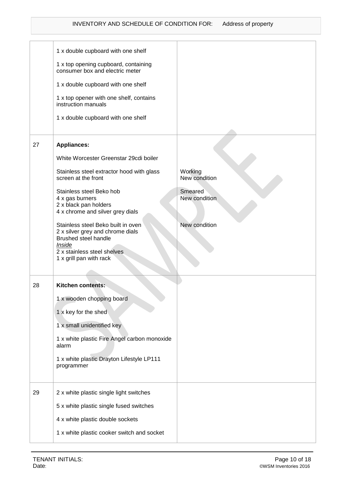|    | 1 x double cupboard with one shelf                                      |                          |
|----|-------------------------------------------------------------------------|--------------------------|
|    | 1 x top opening cupboard, containing<br>consumer box and electric meter |                          |
|    | 1 x double cupboard with one shelf                                      |                          |
|    | 1 x top opener with one shelf, contains<br>instruction manuals          |                          |
|    | 1 x double cupboard with one shelf                                      |                          |
|    |                                                                         |                          |
| 27 | <b>Appliances:</b>                                                      |                          |
|    | White Worcester Greenstar 29cdi boiler                                  |                          |
|    | Stainless steel extractor hood with glass<br>screen at the front        | Working<br>New condition |
|    | Stainless steel Beko hob<br>4 x gas burners                             | Smeared<br>New condition |
|    | 2 x black pan holders<br>4 x chrome and silver grey dials               |                          |
|    | Stainless steel Beko built in oven                                      | New condition            |
|    | 2 x silver grey and chrome dials<br>Brushed steel handle                |                          |
|    | Inside<br>2 x stainless steel shelves                                   |                          |
|    | 1 x grill pan with rack                                                 |                          |
|    |                                                                         |                          |
| 28 | <b>Kitchen contents:</b>                                                |                          |
|    | 1 x wooden chopping board                                               |                          |
|    | 1 x key for the shed                                                    |                          |
|    | 1 x small unidentified key                                              |                          |
|    | 1 x white plastic Fire Angel carbon monoxide<br>alarm                   |                          |
|    | 1 x white plastic Drayton Lifestyle LP111<br>programmer                 |                          |
|    |                                                                         |                          |
| 29 | 2 x white plastic single light switches                                 |                          |
|    | 5 x white plastic single fused switches                                 |                          |
|    | 4 x white plastic double sockets                                        |                          |
|    | 1 x white plastic cooker switch and socket                              |                          |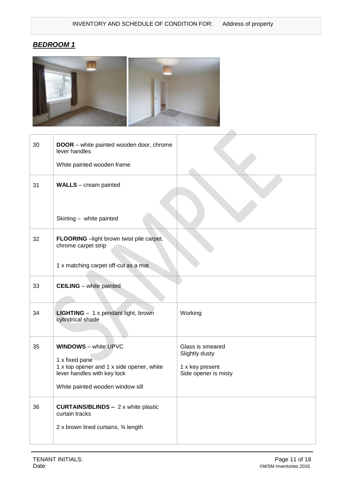# *BEDROOM 1*



| 30 | <b>DOOR</b> – white painted wooden door, chrome<br>lever handles<br>White painted wooden frame                                                                |                                                                               |
|----|---------------------------------------------------------------------------------------------------------------------------------------------------------------|-------------------------------------------------------------------------------|
| 31 | <b>WALLS</b> – cream painted                                                                                                                                  |                                                                               |
|    | Skirting - white painted                                                                                                                                      |                                                                               |
| 32 | FLOORING - light brown twist pile carpet,<br>chrome carpet strip                                                                                              |                                                                               |
|    | 1 x matching carpet off-cut as a mat                                                                                                                          |                                                                               |
| 33 | <b>CEILING</b> - white painted                                                                                                                                |                                                                               |
| 34 | <b>LIGHTING</b> - 1 x pendant light, brown<br>cylindrical shade                                                                                               | Working                                                                       |
| 35 | <b>WINDOWS</b> - white UPVC<br>1 x fixed pane<br>1 x top opener and 1 x side opener, white<br>lever handles with key lock<br>White painted wooden window sill | Glass is smeared<br>Slightly dusty<br>1 x key present<br>Side opener is misty |
| 36 | <b>CURTAINS/BLINDS - 2 x white plastic</b><br>curtain tracks<br>2 x brown lined curtains, 3⁄4 length                                                          |                                                                               |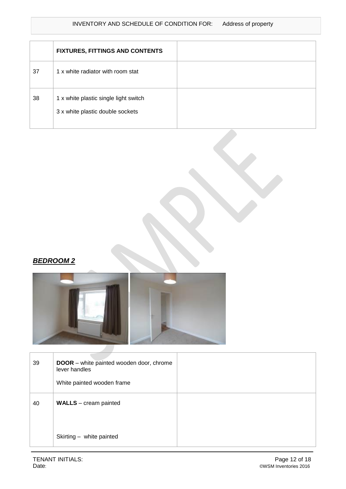### INVENTORY AND SCHEDULE OF CONDITION FOR: Address of property

|    | <b>FIXTURES, FITTINGS AND CONTENTS</b>                                    |  |
|----|---------------------------------------------------------------------------|--|
| 37 | 1 x white radiator with room stat                                         |  |
| 38 | 1 x white plastic single light switch<br>3 x white plastic double sockets |  |

## *BEDROOM 2*



| 39 | <b>DOOR</b> – white painted wooden door, chrome<br>lever handles<br>White painted wooden frame |  |
|----|------------------------------------------------------------------------------------------------|--|
| 40 | <b>WALLS</b> – cream painted                                                                   |  |
|    | Skirting - white painted                                                                       |  |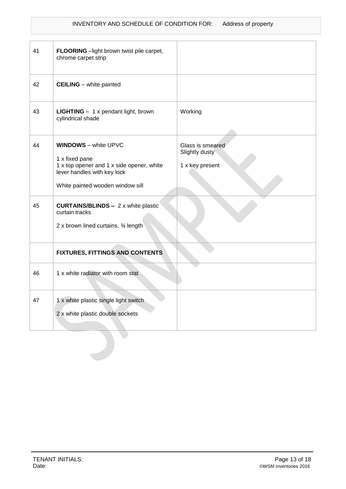### INVENTORY AND SCHEDULE OF CONDITION FOR: Address of property

| 41 | FLOORING - light brown twist pile carpet,<br>chrome carpet strip                                                                                              |                                                       |
|----|---------------------------------------------------------------------------------------------------------------------------------------------------------------|-------------------------------------------------------|
| 42 | <b>CEILING</b> – white painted                                                                                                                                |                                                       |
| 43 | LIGHTING - 1 x pendant light, brown<br>cylindrical shade                                                                                                      | Working                                               |
| 44 | <b>WINDOWS</b> - white UPVC<br>1 x fixed pane<br>1 x top opener and 1 x side opener, white<br>lever handles with key lock<br>White painted wooden window sill | Glass is smeared<br>Slightly dusty<br>1 x key present |
| 45 | <b>CURTAINS/BLINDS - 2 x white plastic</b><br>curtain tracks<br>2 x brown lined curtains, 3⁄4 length                                                          |                                                       |
|    | <b>FIXTURES, FITTINGS AND CONTENTS</b>                                                                                                                        |                                                       |
| 46 | 1 x white radiator with room stat                                                                                                                             |                                                       |
| 47 | 1 x white plastic single light switch<br>2 x white plastic double sockets                                                                                     |                                                       |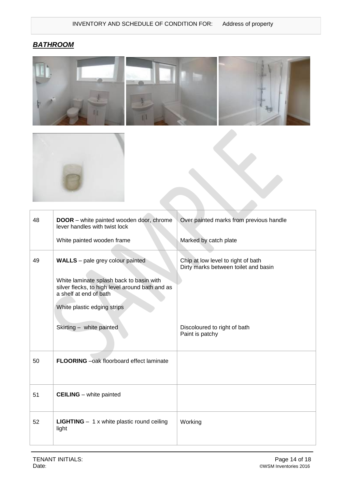# *BATHROOM*





| 48 | DOOR - white painted wooden door, chrome<br>lever handles with twist lock<br>White painted wooden frame                                                                                                                     | Over painted marks from previous handle<br>Marked by catch plate                                                              |
|----|-----------------------------------------------------------------------------------------------------------------------------------------------------------------------------------------------------------------------------|-------------------------------------------------------------------------------------------------------------------------------|
| 49 | <b>WALLS</b> – pale grey colour painted<br>White laminate splash back to basin with<br>silver flecks, to high level around bath and as<br>a shelf at end of bath<br>White plastic edging strips<br>Skirting - white painted | Chip at low level to right of bath<br>Dirty marks between toilet and basin<br>Discoloured to right of bath<br>Paint is patchy |
| 50 | <b>FLOORING</b> - oak floorboard effect laminate                                                                                                                                                                            |                                                                                                                               |
| 51 | <b>CEILING</b> – white painted                                                                                                                                                                                              |                                                                                                                               |
| 52 | <b>LIGHTING</b> $- 1x$ white plastic round ceiling<br>light                                                                                                                                                                 | Working                                                                                                                       |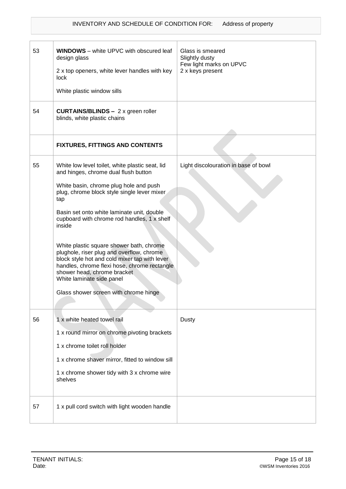| 53 | <b>WINDOWS</b> - white UPVC with obscured leaf<br>design glass<br>2 x top openers, white lever handles with key<br>lock<br>White plastic window sills                                                                                                                                                                                                                                                                                                                                                                                                                                         | Glass is smeared<br>Slightly dusty<br>Few light marks on UPVC<br>2 x keys present |
|----|-----------------------------------------------------------------------------------------------------------------------------------------------------------------------------------------------------------------------------------------------------------------------------------------------------------------------------------------------------------------------------------------------------------------------------------------------------------------------------------------------------------------------------------------------------------------------------------------------|-----------------------------------------------------------------------------------|
| 54 | <b>CURTAINS/BLINDS - 2 x green roller</b><br>blinds, white plastic chains                                                                                                                                                                                                                                                                                                                                                                                                                                                                                                                     |                                                                                   |
|    | <b>FIXTURES, FITTINGS AND CONTENTS</b>                                                                                                                                                                                                                                                                                                                                                                                                                                                                                                                                                        |                                                                                   |
| 55 | White low level toilet, white plastic seat, lid<br>and hinges, chrome dual flush button<br>White basin, chrome plug hole and push<br>plug, chrome block style single lever mixer<br>tap<br>Basin set onto white laminate unit, double<br>cupboard with chrome rod handles, 1 x shelf<br>inside<br>White plastic square shower bath, chrome<br>plughole, riser plug and overflow, chrome<br>block style hot and cold mixer tap with lever<br>handles, chrome flexi hose, chrome rectangle<br>shower head, chrome bracket<br>White laminate side panel<br>Glass shower screen with chrome hinge | Light discolouration in base of bowl                                              |
| 56 | 1 x white heated towel rail<br>1 x round mirror on chrome pivoting brackets<br>1 x chrome toilet roll holder<br>1 x chrome shaver mirror, fitted to window sill<br>1 x chrome shower tidy with 3 x chrome wire<br>shelves                                                                                                                                                                                                                                                                                                                                                                     | Dusty                                                                             |
| 57 | 1 x pull cord switch with light wooden handle                                                                                                                                                                                                                                                                                                                                                                                                                                                                                                                                                 |                                                                                   |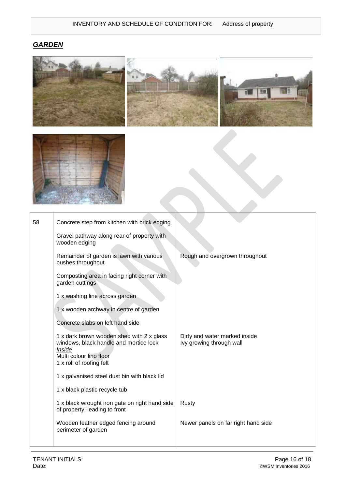# *GARDEN*





| 58 | Concrete step from kitchen with brick edging<br>Gravel pathway along rear of property with<br>wooden edging<br>Remainder of garden is lawn with various<br>bushes throughout<br>Composting area in facing right corner with<br>garden cuttings                                                                                                        | Rough and overgrown throughout                            |
|----|-------------------------------------------------------------------------------------------------------------------------------------------------------------------------------------------------------------------------------------------------------------------------------------------------------------------------------------------------------|-----------------------------------------------------------|
|    | 1 x washing line across garden<br>1 x wooden archway in centre of garden<br>Concrete slabs on left hand side<br>1 x dark brown wooden shed with 2 x glass<br>windows, black handle and mortice lock<br>Inside<br>Multi colour lino floor<br>1 x roll of roofing felt<br>1 x galvanised steel dust bin with black lid<br>1 x black plastic recycle tub | Dirty and water marked inside<br>lvy growing through wall |
|    | 1 x black wrought iron gate on right hand side<br>of property, leading to front                                                                                                                                                                                                                                                                       | Rusty                                                     |
|    | Wooden feather edged fencing around<br>perimeter of garden                                                                                                                                                                                                                                                                                            | Newer panels on far right hand side                       |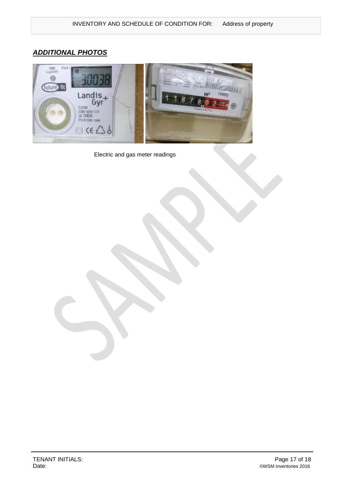# *ADDITIONAL PHOTOS*



Electric and gas meter readings